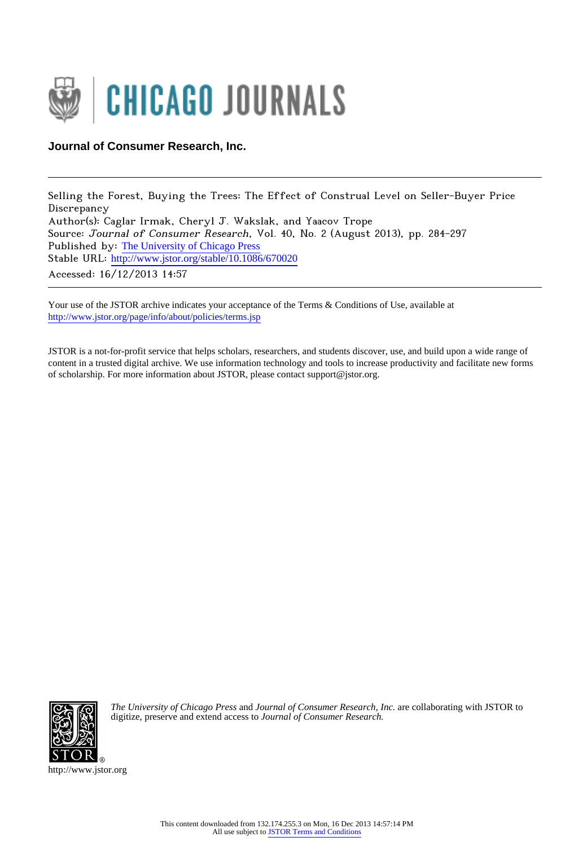

# **Journal of Consumer Research, Inc.**

Selling the Forest, Buying the Trees: The Effect of Construal Level on Seller-Buyer Price Discrepancy Author(s): Caglar Irmak, Cheryl J. Wakslak, and Yaacov Trope Source: Journal of Consumer Research, Vol. 40, No. 2 (August 2013), pp. 284-297 Published by: [The University of Chicago Press](http://www.jstor.org/action/showPublisher?publisherCode=ucpress) Stable URL: http://www.jstor.org/stable/10.1086/670020 Accessed: 16/12/2013 14:57

Your use of the JSTOR archive indicates your acceptance of the Terms & Conditions of Use, available at <http://www.jstor.org/page/info/about/policies/terms.jsp>

JSTOR is a not-for-profit service that helps scholars, researchers, and students discover, use, and build upon a wide range of content in a trusted digital archive. We use information technology and tools to increase productivity and facilitate new forms of scholarship. For more information about JSTOR, please contact support@jstor.org.



*The University of Chicago Press* and *Journal of Consumer Research, Inc.* are collaborating with JSTOR to digitize, preserve and extend access to *Journal of Consumer Research.*

http://www.jstor.org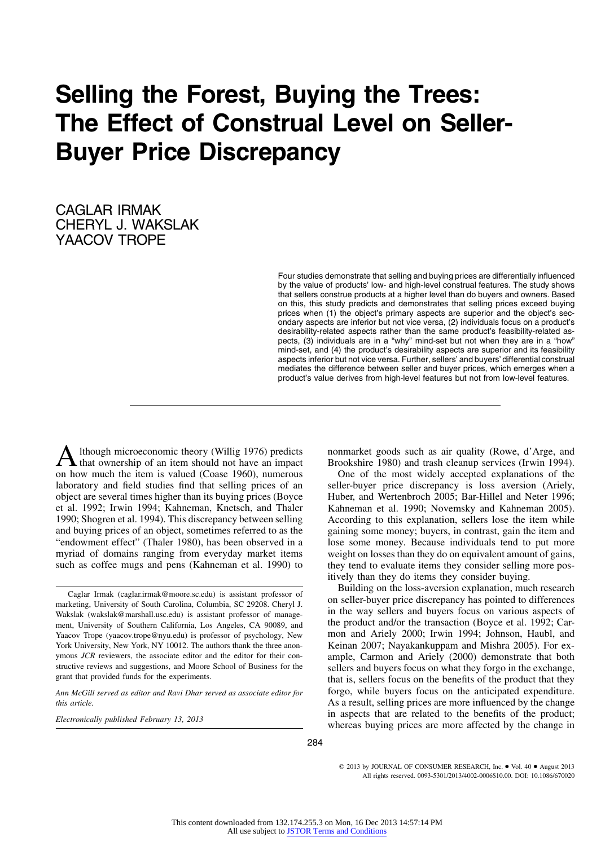# **Selling the Forest, Buying the Trees: The Effect of Construal Level on Seller-Buyer Price Discrepancy**

CAGLAR IRMAK CHERYL J. WAKSLAK YAACOV TROPE

> Four studies demonstrate that selling and buying prices are differentially influenced by the value of products' low- and high-level construal features. The study shows that sellers construe products at a higher level than do buyers and owners. Based on this, this study predicts and demonstrates that selling prices exceed buying prices when (1) the object's primary aspects are superior and the object's secondary aspects are inferior but not vice versa, (2) individuals focus on a product's desirability-related aspects rather than the same product's feasibility-related aspects, (3) individuals are in a "why" mind-set but not when they are in a "how" mind-set, and (4) the product's desirability aspects are superior and its feasibility aspects inferior but not vice versa. Further, sellers' and buyers' differential construal mediates the difference between seller and buyer prices, which emerges when a product's value derives from high-level features but not from low-level features.

A lthough microeconomic theory (Willig 1976) predicts<br>that ownership of an item should not have an impact on how much the item is valued (Coase 1960), numerous laboratory and field studies find that selling prices of an object are several times higher than its buying prices (Boyce et al. 1992; Irwin 1994; Kahneman, Knetsch, and Thaler 1990; Shogren et al. 1994). This discrepancy between selling and buying prices of an object, sometimes referred to as the "endowment effect" (Thaler 1980), has been observed in a myriad of domains ranging from everyday market items such as coffee mugs and pens (Kahneman et al. 1990) to

*Ann McGill served as editor and Ravi Dhar served as associate editor for this article.*

*Electronically published February 13, 2013*

nonmarket goods such as air quality (Rowe, d'Arge, and Brookshire 1980) and trash cleanup services (Irwin 1994).

One of the most widely accepted explanations of the seller-buyer price discrepancy is loss aversion (Ariely, Huber, and Wertenbroch 2005; Bar-Hillel and Neter 1996; Kahneman et al. 1990; Novemsky and Kahneman 2005). According to this explanation, sellers lose the item while gaining some money; buyers, in contrast, gain the item and lose some money. Because individuals tend to put more weight on losses than they do on equivalent amount of gains, they tend to evaluate items they consider selling more positively than they do items they consider buying.

Building on the loss-aversion explanation, much research on seller-buyer price discrepancy has pointed to differences in the way sellers and buyers focus on various aspects of the product and/or the transaction (Boyce et al. 1992; Carmon and Ariely 2000; Irwin 1994; Johnson, Haubl, and Keinan 2007; Nayakankuppam and Mishra 2005). For example, Carmon and Ariely (2000) demonstrate that both sellers and buyers focus on what they forgo in the exchange, that is, sellers focus on the benefits of the product that they forgo, while buyers focus on the anticipated expenditure. As a result, selling prices are more influenced by the change in aspects that are related to the benefits of the product; whereas buying prices are more affected by the change in

```
284
```
© 2013 by JOURNAL OF CONSUMER RESEARCH, Inc. • Vol. 40 • August 2013 All rights reserved. 0093-5301/2013/4002-0006\$10.00. DOI: 10.1086/670020

Caglar Irmak [\(caglar.irmak@moore.sc.edu\)](mailto:caglar.irmak@moore.sc.edu) is assistant professor of marketing, University of South Carolina, Columbia, SC 29208. Cheryl J. Wakslak [\(wakslak@marshall.usc.edu\)](mailto:wakslak@marshall.usc.edu) is assistant professor of management, University of Southern California, Los Angeles, CA 90089, and Yaacov Trope [\(yaacov.trope@nyu.edu\)](mailto:yaacov.trope@nyu.edu) is professor of psychology, New York University, New York, NY 10012. The authors thank the three anonymous *JCR* reviewers, the associate editor and the editor for their constructive reviews and suggestions, and Moore School of Business for the grant that provided funds for the experiments.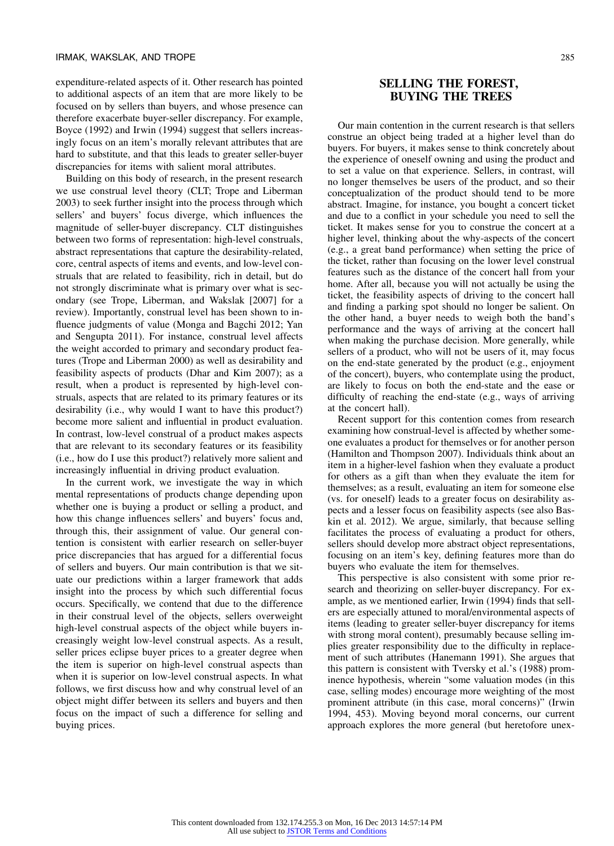expenditure-related aspects of it. Other research has pointed to additional aspects of an item that are more likely to be focused on by sellers than buyers, and whose presence can therefore exacerbate buyer-seller discrepancy. For example, Boyce (1992) and Irwin (1994) suggest that sellers increasingly focus on an item's morally relevant attributes that are hard to substitute, and that this leads to greater seller-buyer discrepancies for items with salient moral attributes.

Building on this body of research, in the present research we use construal level theory (CLT; Trope and Liberman 2003) to seek further insight into the process through which sellers' and buyers' focus diverge, which influences the magnitude of seller-buyer discrepancy. CLT distinguishes between two forms of representation: high-level construals, abstract representations that capture the desirability-related, core, central aspects of items and events, and low-level construals that are related to feasibility, rich in detail, but do not strongly discriminate what is primary over what is secondary (see Trope, Liberman, and Wakslak [2007] for a review). Importantly, construal level has been shown to influence judgments of value (Monga and Bagchi 2012; Yan and Sengupta 2011). For instance, construal level affects the weight accorded to primary and secondary product features (Trope and Liberman 2000) as well as desirability and feasibility aspects of products (Dhar and Kim 2007); as a result, when a product is represented by high-level construals, aspects that are related to its primary features or its desirability (i.e., why would I want to have this product?) become more salient and influential in product evaluation. In contrast, low-level construal of a product makes aspects that are relevant to its secondary features or its feasibility (i.e., how do I use this product?) relatively more salient and increasingly influential in driving product evaluation.

In the current work, we investigate the way in which mental representations of products change depending upon whether one is buying a product or selling a product, and how this change influences sellers' and buyers' focus and, through this, their assignment of value. Our general contention is consistent with earlier research on seller-buyer price discrepancies that has argued for a differential focus of sellers and buyers. Our main contribution is that we situate our predictions within a larger framework that adds insight into the process by which such differential focus occurs. Specifically, we contend that due to the difference in their construal level of the objects, sellers overweight high-level construal aspects of the object while buyers increasingly weight low-level construal aspects. As a result, seller prices eclipse buyer prices to a greater degree when the item is superior on high-level construal aspects than when it is superior on low-level construal aspects. In what follows, we first discuss how and why construal level of an object might differ between its sellers and buyers and then focus on the impact of such a difference for selling and buying prices.

# **SELLING THE FOREST, BUYING THE TREES**

Our main contention in the current research is that sellers construe an object being traded at a higher level than do buyers. For buyers, it makes sense to think concretely about the experience of oneself owning and using the product and to set a value on that experience. Sellers, in contrast, will no longer themselves be users of the product, and so their conceptualization of the product should tend to be more abstract. Imagine, for instance, you bought a concert ticket and due to a conflict in your schedule you need to sell the ticket. It makes sense for you to construe the concert at a higher level, thinking about the why-aspects of the concert (e.g., a great band performance) when setting the price of the ticket, rather than focusing on the lower level construal features such as the distance of the concert hall from your home. After all, because you will not actually be using the ticket, the feasibility aspects of driving to the concert hall and finding a parking spot should no longer be salient. On the other hand, a buyer needs to weigh both the band's performance and the ways of arriving at the concert hall when making the purchase decision. More generally, while sellers of a product, who will not be users of it, may focus on the end-state generated by the product (e.g., enjoyment of the concert), buyers, who contemplate using the product, are likely to focus on both the end-state and the ease or difficulty of reaching the end-state (e.g., ways of arriving at the concert hall).

Recent support for this contention comes from research examining how construal-level is affected by whether someone evaluates a product for themselves or for another person (Hamilton and Thompson 2007). Individuals think about an item in a higher-level fashion when they evaluate a product for others as a gift than when they evaluate the item for themselves; as a result, evaluating an item for someone else (vs. for oneself) leads to a greater focus on desirability aspects and a lesser focus on feasibility aspects (see also Baskin et al. 2012). We argue, similarly, that because selling facilitates the process of evaluating a product for others, sellers should develop more abstract object representations, focusing on an item's key, defining features more than do buyers who evaluate the item for themselves.

This perspective is also consistent with some prior research and theorizing on seller-buyer discrepancy. For example, as we mentioned earlier, Irwin (1994) finds that sellers are especially attuned to moral/environmental aspects of items (leading to greater seller-buyer discrepancy for items with strong moral content), presumably because selling implies greater responsibility due to the difficulty in replacement of such attributes (Hanemann 1991). She argues that this pattern is consistent with Tversky et al.'s (1988) prominence hypothesis, wherein "some valuation modes (in this case, selling modes) encourage more weighting of the most prominent attribute (in this case, moral concerns)" (Irwin 1994, 453). Moving beyond moral concerns, our current approach explores the more general (but heretofore unex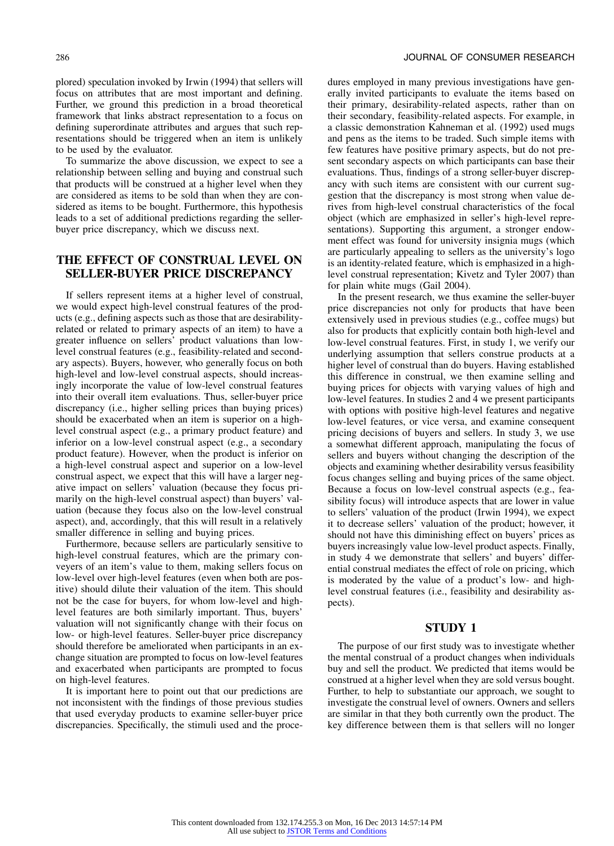plored) speculation invoked by Irwin (1994) that sellers will focus on attributes that are most important and defining. Further, we ground this prediction in a broad theoretical framework that links abstract representation to a focus on defining superordinate attributes and argues that such representations should be triggered when an item is unlikely to be used by the evaluator.

To summarize the above discussion, we expect to see a relationship between selling and buying and construal such that products will be construed at a higher level when they are considered as items to be sold than when they are considered as items to be bought. Furthermore, this hypothesis leads to a set of additional predictions regarding the sellerbuyer price discrepancy, which we discuss next.

# **THE EFFECT OF CONSTRUAL LEVEL ON SELLER-BUYER PRICE DISCREPANCY**

If sellers represent items at a higher level of construal, we would expect high-level construal features of the products (e.g., defining aspects such as those that are desirabilityrelated or related to primary aspects of an item) to have a greater influence on sellers' product valuations than lowlevel construal features (e.g., feasibility-related and secondary aspects). Buyers, however, who generally focus on both high-level and low-level construal aspects, should increasingly incorporate the value of low-level construal features into their overall item evaluations. Thus, seller-buyer price discrepancy (i.e., higher selling prices than buying prices) should be exacerbated when an item is superior on a highlevel construal aspect (e.g., a primary product feature) and inferior on a low-level construal aspect (e.g., a secondary product feature). However, when the product is inferior on a high-level construal aspect and superior on a low-level construal aspect, we expect that this will have a larger negative impact on sellers' valuation (because they focus primarily on the high-level construal aspect) than buyers' valuation (because they focus also on the low-level construal aspect), and, accordingly, that this will result in a relatively smaller difference in selling and buying prices.

Furthermore, because sellers are particularly sensitive to high-level construal features, which are the primary conveyers of an item's value to them, making sellers focus on low-level over high-level features (even when both are positive) should dilute their valuation of the item. This should not be the case for buyers, for whom low-level and highlevel features are both similarly important. Thus, buyers' valuation will not significantly change with their focus on low- or high-level features. Seller-buyer price discrepancy should therefore be ameliorated when participants in an exchange situation are prompted to focus on low-level features and exacerbated when participants are prompted to focus on high-level features.

It is important here to point out that our predictions are not inconsistent with the findings of those previous studies that used everyday products to examine seller-buyer price discrepancies. Specifically, the stimuli used and the procedures employed in many previous investigations have generally invited participants to evaluate the items based on their primary, desirability-related aspects, rather than on their secondary, feasibility-related aspects. For example, in a classic demonstration Kahneman et al. (1992) used mugs and pens as the items to be traded. Such simple items with few features have positive primary aspects, but do not present secondary aspects on which participants can base their evaluations. Thus, findings of a strong seller-buyer discrepancy with such items are consistent with our current suggestion that the discrepancy is most strong when value derives from high-level construal characteristics of the focal object (which are emphasized in seller's high-level representations). Supporting this argument, a stronger endowment effect was found for university insignia mugs (which are particularly appealing to sellers as the university's logo is an identity-related feature, which is emphasized in a highlevel construal representation; Kivetz and Tyler 2007) than for plain white mugs (Gail 2004).

In the present research, we thus examine the seller-buyer price discrepancies not only for products that have been extensively used in previous studies (e.g., coffee mugs) but also for products that explicitly contain both high-level and low-level construal features. First, in study 1, we verify our underlying assumption that sellers construe products at a higher level of construal than do buyers. Having established this difference in construal, we then examine selling and buying prices for objects with varying values of high and low-level features. In studies 2 and 4 we present participants with options with positive high-level features and negative low-level features, or vice versa, and examine consequent pricing decisions of buyers and sellers. In study 3, we use a somewhat different approach, manipulating the focus of sellers and buyers without changing the description of the objects and examining whether desirability versus feasibility focus changes selling and buying prices of the same object. Because a focus on low-level construal aspects (e.g., feasibility focus) will introduce aspects that are lower in value to sellers' valuation of the product (Irwin 1994), we expect it to decrease sellers' valuation of the product; however, it should not have this diminishing effect on buyers' prices as buyers increasingly value low-level product aspects. Finally, in study 4 we demonstrate that sellers' and buyers' differential construal mediates the effect of role on pricing, which is moderated by the value of a product's low- and highlevel construal features (i.e., feasibility and desirability aspects).

#### **STUDY 1**

The purpose of our first study was to investigate whether the mental construal of a product changes when individuals buy and sell the product. We predicted that items would be construed at a higher level when they are sold versus bought. Further, to help to substantiate our approach, we sought to investigate the construal level of owners. Owners and sellers are similar in that they both currently own the product. The key difference between them is that sellers will no longer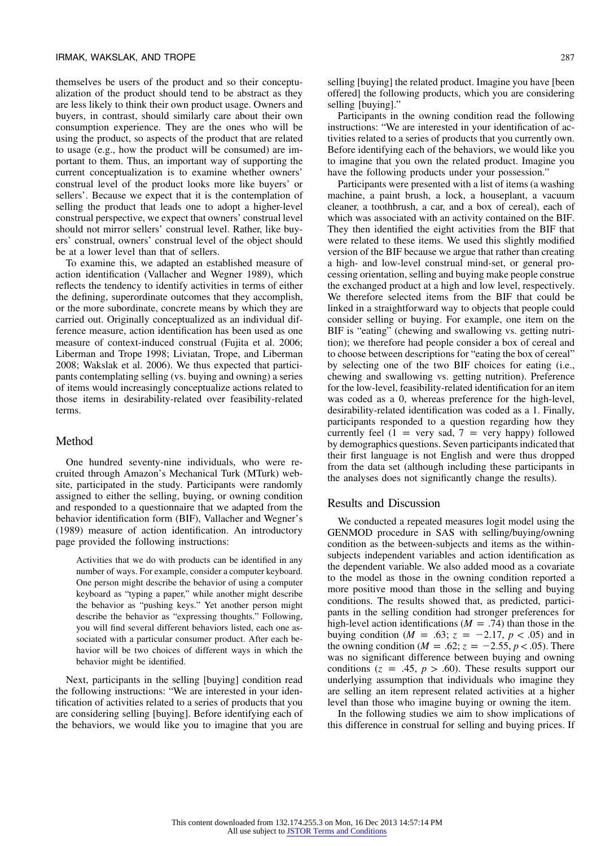themselves be users of the product and so their conceptualization of the product should tend to be abstract as they are less likely to think their own product usage. Owners and buyers, in contrast, should similarly care about their own consumption experience. They are the ones who will be using the product, so aspects of the product that are related to usage (e.g., how the product will be consumed) are important to them. Thus, an important way of supporting the current conceptualization is to examine whether owners' construal level of the product looks more like buyers' or sellers'. Because we expect that it is the contemplation of selling the product that leads one to adopt a higher-level construal perspective, we expect that owners' construal level should not mirror sellers' construal level. Rather, like buyers' construal, owners' construal level of the object should be at a lower level than that of sellers.

To examine this, we adapted an established measure of action identification (Vallacher and Wegner 1989), which reflects the tendency to identify activities in terms of either the defining, superordinate outcomes that they accomplish, or the more subordinate, concrete means by which they are carried out. Originally conceptualized as an individual difference measure, action identification has been used as one measure of context-induced construal (Fujita et al. 2006; Liberman and Trope 1998; Liviatan, Trope, and Liberman 2008; Wakslak et al. 2006). We thus expected that participants contemplating selling (vs. buying and owning) a series of items would increasingly conceptualize actions related to those items in desirability-related over feasibility-related terms.

#### Method

One hundred seventy-nine individuals, who were recruited through Amazon's Mechanical Turk (MTurk) website, participated in the study. Participants were randomly assigned to either the selling, buying, or owning condition and responded to a questionnaire that we adapted from the behavior identification form (BIF), Vallacher and Wegner's (1989) measure of action identification. An introductory page provided the following instructions:

Activities that we do with products can be identified in any number of ways. For example, consider a computer keyboard. One person might describe the behavior of using a computer keyboard as "typing a paper," while another might describe the behavior as "pushing keys." Yet another person might describe the behavior as "expressing thoughts." Following, you will find several different behaviors listed, each one associated with a particular consumer product. After each behavior will be two choices of different ways in which the behavior might be identified.

Next, participants in the selling [buying] condition read the following instructions: "We are interested in your identification of activities related to a series of products that you are considering selling [buying]. Before identifying each of the behaviors, we would like you to imagine that you are selling [buying] the related product. Imagine you have [been offered] the following products, which you are considering selling [buying]."

Participants in the owning condition read the following instructions: "We are interested in your identification of activities related to a series of products that you currently own. Before identifying each of the behaviors, we would like you to imagine that you own the related product. Imagine you have the following products under your possession."

Participants were presented with a list of items (a washing machine, a paint brush, a lock, a houseplant, a vacuum cleaner, a toothbrush, a car, and a box of cereal), each of which was associated with an activity contained on the BIF. They then identified the eight activities from the BIF that were related to these items. We used this slightly modified version of the BIF because we argue that rather than creating a high- and low-level construal mind-set, or general processing orientation, selling and buying make people construe the exchanged product at a high and low level, respectively. We therefore selected items from the BIF that could be linked in a straightforward way to objects that people could consider selling or buying. For example, one item on the BIF is "eating" (chewing and swallowing vs. getting nutrition); we therefore had people consider a box of cereal and to choose between descriptions for "eating the box of cereal" by selecting one of the two BIF choices for eating (i.e., chewing and swallowing vs. getting nutrition). Preference for the low-level, feasibility-related identification for an item was coded as a 0, whereas preference for the high-level, desirability-related identification was coded as a 1. Finally, participants responded to a question regarding how they currently feel  $(1 = \text{very sad}, 7 = \text{very happy})$  followed by demographics questions. Seven participants indicated that their first language is not English and were thus dropped from the data set (although including these participants in the analyses does not significantly change the results).

## Results and Discussion

We conducted a repeated measures logit model using the GENMOD procedure in SAS with selling/buying/owning condition as the between-subjects and items as the withinsubjects independent variables and action identification as the dependent variable. We also added mood as a covariate to the model as those in the owning condition reported a more positive mood than those in the selling and buying conditions. The results showed that, as predicted, participants in the selling condition had stronger preferences for high-level action identifications  $(M = .74)$  than those in the buying condition ( $M = .63$ ;  $z = -2.17$ ,  $p < .05$ ) and in the owning condition ( $M = .62$ ;  $z = -2.55$ ,  $p < .05$ ). There was no significant difference between buying and owning conditions  $(z = .45, p > .60)$ . These results support our underlying assumption that individuals who imagine they are selling an item represent related activities at a higher level than those who imagine buying or owning the item.

In the following studies we aim to show implications of this difference in construal for selling and buying prices. If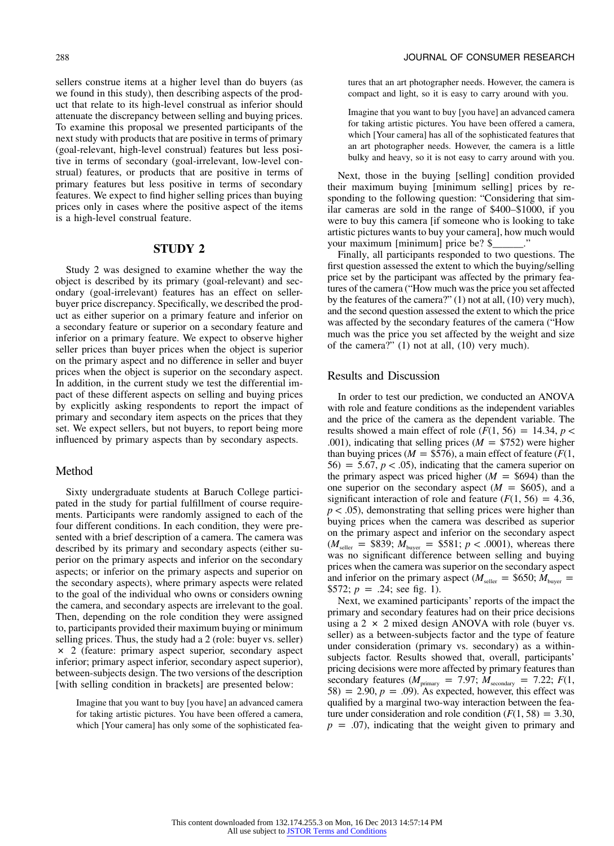sellers construe items at a higher level than do buyers (as we found in this study), then describing aspects of the product that relate to its high-level construal as inferior should attenuate the discrepancy between selling and buying prices. To examine this proposal we presented participants of the next study with products that are positive in terms of primary (goal-relevant, high-level construal) features but less positive in terms of secondary (goal-irrelevant, low-level construal) features, or products that are positive in terms of primary features but less positive in terms of secondary features. We expect to find higher selling prices than buying prices only in cases where the positive aspect of the items is a high-level construal feature.

## **STUDY 2**

Study 2 was designed to examine whether the way the object is described by its primary (goal-relevant) and secondary (goal-irrelevant) features has an effect on sellerbuyer price discrepancy. Specifically, we described the product as either superior on a primary feature and inferior on a secondary feature or superior on a secondary feature and inferior on a primary feature. We expect to observe higher seller prices than buyer prices when the object is superior on the primary aspect and no difference in seller and buyer prices when the object is superior on the secondary aspect. In addition, in the current study we test the differential impact of these different aspects on selling and buying prices by explicitly asking respondents to report the impact of primary and secondary item aspects on the prices that they set. We expect sellers, but not buyers, to report being more influenced by primary aspects than by secondary aspects.

#### Method

Sixty undergraduate students at Baruch College participated in the study for partial fulfillment of course requirements. Participants were randomly assigned to each of the four different conditions. In each condition, they were presented with a brief description of a camera. The camera was described by its primary and secondary aspects (either superior on the primary aspects and inferior on the secondary aspects; or inferior on the primary aspects and superior on the secondary aspects), where primary aspects were related to the goal of the individual who owns or considers owning the camera, and secondary aspects are irrelevant to the goal. Then, depending on the role condition they were assigned to, participants provided their maximum buying or minimum selling prices. Thus, the study had a 2 (role: buyer vs. seller) x 2 (feature: primary aspect superior, secondary aspect inferior; primary aspect inferior, secondary aspect superior), between-subjects design. The two versions of the description [with selling condition in brackets] are presented below:

Imagine that you want to buy [you have] an advanced camera for taking artistic pictures. You have been offered a camera, which [Your camera] has only some of the sophisticated features that an art photographer needs. However, the camera is compact and light, so it is easy to carry around with you.

Imagine that you want to buy [you have] an advanced camera for taking artistic pictures. You have been offered a camera, which [Your camera] has all of the sophisticated features that an art photographer needs. However, the camera is a little bulky and heavy, so it is not easy to carry around with you.

Next, those in the buying [selling] condition provided their maximum buying [minimum selling] prices by responding to the following question: "Considering that similar cameras are sold in the range of \$400–\$1000, if you were to buy this camera [if someone who is looking to take artistic pictures wants to buy your camera], how much would your maximum [minimum] price be? \$

Finally, all participants responded to two questions. The first question assessed the extent to which the buying/selling price set by the participant was affected by the primary features of the camera ("How much was the price you set affected by the features of the camera?" (1) not at all, (10) very much), and the second question assessed the extent to which the price was affected by the secondary features of the camera ("How much was the price you set affected by the weight and size of the camera?" (1) not at all, (10) very much).

## Results and Discussion

In order to test our prediction, we conducted an ANOVA with role and feature conditions as the independent variables and the price of the camera as the dependent variable. The results showed a main effect of role  $(F(1, 56) = 14.34, p <$ .001), indicating that selling prices  $(M = $752)$  were higher than buying prices ( $M = $576$ ), a main effect of feature ( $F(1,$  $56$ ) = 5.67,  $p < .05$ ), indicating that the camera superior on the primary aspect was priced higher  $(M = $694)$  than the one superior on the secondary aspect  $(M = $605)$ , and a significant interaction of role and feature  $(F(1, 56) = 4.36,$  $p < .05$ ), demonstrating that selling prices were higher than buying prices when the camera was described as superior on the primary aspect and inferior on the secondary aspect  $(M_{\text{selfer}} = $839; M_{\text{burger}} = $581; p < .0001$ , whereas there was no significant difference between selling and buying prices when the camera was superior on the secondary aspect and inferior on the primary aspect ( $M_{\text{selfer}} = $650; M_{\text{lower}} =$ \$572;  $p = .24$ ; see fig. 1).

Next, we examined participants' reports of the impact the primary and secondary features had on their price decisions using a  $2 \times 2$  mixed design ANOVA with role (buyer vs. seller) as a between-subjects factor and the type of feature under consideration (primary vs. secondary) as a withinsubjects factor. Results showed that, overall, participants' pricing decisions were more affected by primary features than secondary features ( $M_{\text{primary}} = 7.97$ ;  $M_{\text{secondary}} = 7.22$ ;  $F(1,$ 58) = 2.90,  $p = .09$ ). As expected, however, this effect was qualified by a marginal two-way interaction between the feature under consideration and role condition  $(F(1, 58) = 3.30,$  $p = .07$ ), indicating that the weight given to primary and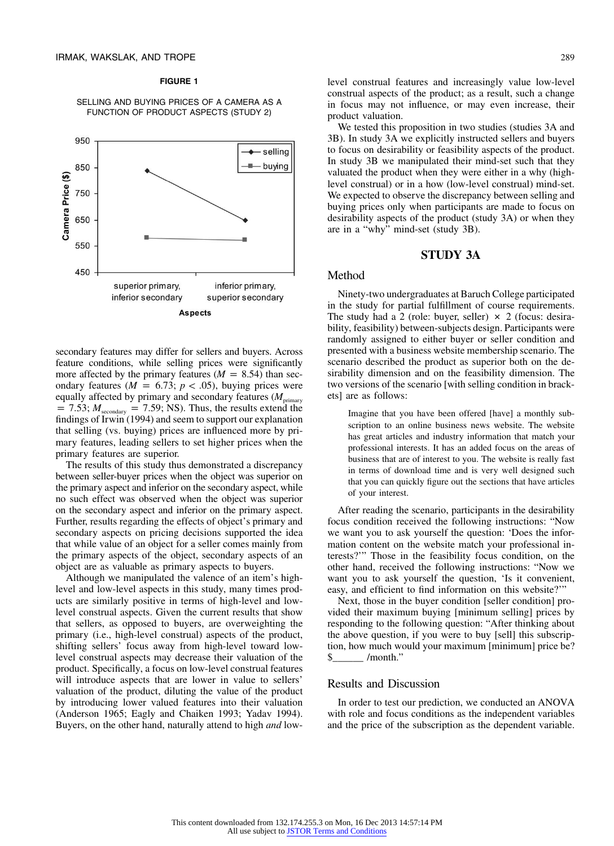#### **FIGURE 1**

SELLING AND BUYING PRICES OF A CAMERA AS A FUNCTION OF PRODUCT ASPECTS (STUDY 2)



secondary features may differ for sellers and buyers. Across feature conditions, while selling prices were significantly more affected by the primary features  $(M = 8.54)$  than secondary features ( $M = 6.73$ ;  $p < .05$ ), buying prices were equally affected by primary and secondary features  $(M_{\text{primary}})$  $p = 7.53$ ;  $M_{\text{secondary}} = 7.59$ ; NS). Thus, the results extend the findings of Irwin (1994) and seem to support our explanation that selling (vs. buying) prices are influenced more by primary features, leading sellers to set higher prices when the primary features are superior.

The results of this study thus demonstrated a discrepancy between seller-buyer prices when the object was superior on the primary aspect and inferior on the secondary aspect, while no such effect was observed when the object was superior on the secondary aspect and inferior on the primary aspect. Further, results regarding the effects of object's primary and secondary aspects on pricing decisions supported the idea that while value of an object for a seller comes mainly from the primary aspects of the object, secondary aspects of an object are as valuable as primary aspects to buyers.

Although we manipulated the valence of an item's highlevel and low-level aspects in this study, many times products are similarly positive in terms of high-level and lowlevel construal aspects. Given the current results that show that sellers, as opposed to buyers, are overweighting the primary (i.e., high-level construal) aspects of the product, shifting sellers' focus away from high-level toward lowlevel construal aspects may decrease their valuation of the product. Specifically, a focus on low-level construal features will introduce aspects that are lower in value to sellers' valuation of the product, diluting the value of the product by introducing lower valued features into their valuation (Anderson 1965; Eagly and Chaiken 1993; Yadav 1994). Buyers, on the other hand, naturally attend to high *and* lowlevel construal features and increasingly value low-level construal aspects of the product; as a result, such a change in focus may not influence, or may even increase, their product valuation.

We tested this proposition in two studies (studies 3A and 3B). In study 3A we explicitly instructed sellers and buyers to focus on desirability or feasibility aspects of the product. In study 3B we manipulated their mind-set such that they valuated the product when they were either in a why (highlevel construal) or in a how (low-level construal) mind-set. We expected to observe the discrepancy between selling and buying prices only when participants are made to focus on desirability aspects of the product (study 3A) or when they are in a "why" mind-set (study 3B).

## **STUDY 3A**

#### Method

Ninety-two undergraduates at Baruch College participated in the study for partial fulfillment of course requirements. The study had a 2 (role: buyer, seller)  $\times$  2 (focus: desirability, feasibility) between-subjects design. Participants were randomly assigned to either buyer or seller condition and presented with a business website membership scenario. The scenario described the product as superior both on the desirability dimension and on the feasibility dimension. The two versions of the scenario [with selling condition in brackets] are as follows:

Imagine that you have been offered [have] a monthly subscription to an online business news website. The website has great articles and industry information that match your professional interests. It has an added focus on the areas of business that are of interest to you. The website is really fast in terms of download time and is very well designed such that you can quickly figure out the sections that have articles of your interest.

After reading the scenario, participants in the desirability focus condition received the following instructions: "Now we want you to ask yourself the question: 'Does the information content on the website match your professional interests?'" Those in the feasibility focus condition, on the other hand, received the following instructions: "Now we want you to ask yourself the question, 'Is it convenient, easy, and efficient to find information on this website?'"

Next, those in the buyer condition [seller condition] provided their maximum buying [minimum selling] prices by responding to the following question: "After thinking about the above question, if you were to buy [sell] this subscription, how much would your maximum [minimum] price be?  $\sin \theta$  /month."

#### Results and Discussion

In order to test our prediction, we conducted an ANOVA with role and focus conditions as the independent variables and the price of the subscription as the dependent variable.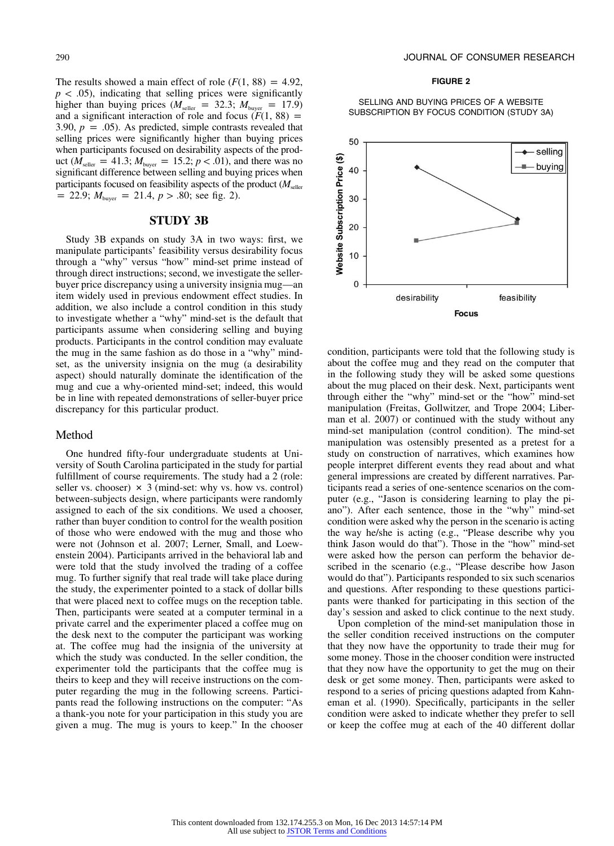The results showed a main effect of role  $(F(1, 88) = 4.92$ ,  $p < .05$ ), indicating that selling prices were significantly higher than buying prices ( $M_{\text{selfer}} = 32.3$ ;  $M_{\text{burger}} = 17.9$ ) and a significant interaction of role and focus  $(F(1, 88))$ 3.90,  $p = .05$ ). As predicted, simple contrasts revealed that selling prices were significantly higher than buying prices when participants focused on desirability aspects of the product ( $M_{\text{seller}} = 41.3$ ;  $M_{\text{burger}} = 15.2$ ;  $p < .01$ ), and there was no significant difference between selling and buying prices when participants focused on feasibility aspects of the product  $(M_{\text{selfer}})$  $p = 22.9; M_{\text{buser}} = 21.4, p > .80; \text{see fig. 2}.$ 

## **STUDY 3B**

Study 3B expands on study 3A in two ways: first, we manipulate participants' feasibility versus desirability focus through a "why" versus "how" mind-set prime instead of through direct instructions; second, we investigate the sellerbuyer price discrepancy using a university insignia mug—an item widely used in previous endowment effect studies. In addition, we also include a control condition in this study to investigate whether a "why" mind-set is the default that participants assume when considering selling and buying products. Participants in the control condition may evaluate the mug in the same fashion as do those in a "why" mindset, as the university insignia on the mug (a desirability aspect) should naturally dominate the identification of the mug and cue a why-oriented mind-set; indeed, this would be in line with repeated demonstrations of seller-buyer price discrepancy for this particular product.

#### Method

One hundred fifty-four undergraduate students at University of South Carolina participated in the study for partial fulfillment of course requirements. The study had a 2 (role: seller vs. chooser)  $\times$  3 (mind-set: why vs. how vs. control) between-subjects design, where participants were randomly assigned to each of the six conditions. We used a chooser, rather than buyer condition to control for the wealth position of those who were endowed with the mug and those who were not (Johnson et al. 2007; Lerner, Small, and Loewenstein 2004). Participants arrived in the behavioral lab and were told that the study involved the trading of a coffee mug. To further signify that real trade will take place during the study, the experimenter pointed to a stack of dollar bills that were placed next to coffee mugs on the reception table. Then, participants were seated at a computer terminal in a private carrel and the experimenter placed a coffee mug on the desk next to the computer the participant was working at. The coffee mug had the insignia of the university at which the study was conducted. In the seller condition, the experimenter told the participants that the coffee mug is theirs to keep and they will receive instructions on the computer regarding the mug in the following screens. Participants read the following instructions on the computer: "As a thank-you note for your participation in this study you are given a mug. The mug is yours to keep." In the chooser

#### **FIGURE 2**

SELLING AND BUYING PRICES OF A WEBSITE SUBSCRIPTION BY FOCUS CONDITION (STUDY 3A)



condition, participants were told that the following study is about the coffee mug and they read on the computer that in the following study they will be asked some questions about the mug placed on their desk. Next, participants went through either the "why" mind-set or the "how" mind-set manipulation (Freitas, Gollwitzer, and Trope 2004; Liberman et al. 2007) or continued with the study without any mind-set manipulation (control condition). The mind-set manipulation was ostensibly presented as a pretest for a study on construction of narratives, which examines how people interpret different events they read about and what general impressions are created by different narratives. Participants read a series of one-sentence scenarios on the computer (e.g., "Jason is considering learning to play the piano"). After each sentence, those in the "why" mind-set condition were asked why the person in the scenario is acting the way he/she is acting (e.g., "Please describe why you think Jason would do that"). Those in the "how" mind-set were asked how the person can perform the behavior described in the scenario (e.g., "Please describe how Jason would do that"). Participants responded to six such scenarios and questions. After responding to these questions participants were thanked for participating in this section of the day's session and asked to click continue to the next study.

Upon completion of the mind-set manipulation those in the seller condition received instructions on the computer that they now have the opportunity to trade their mug for some money. Those in the chooser condition were instructed that they now have the opportunity to get the mug on their desk or get some money. Then, participants were asked to respond to a series of pricing questions adapted from Kahneman et al. (1990). Specifically, participants in the seller condition were asked to indicate whether they prefer to sell or keep the coffee mug at each of the 40 different dollar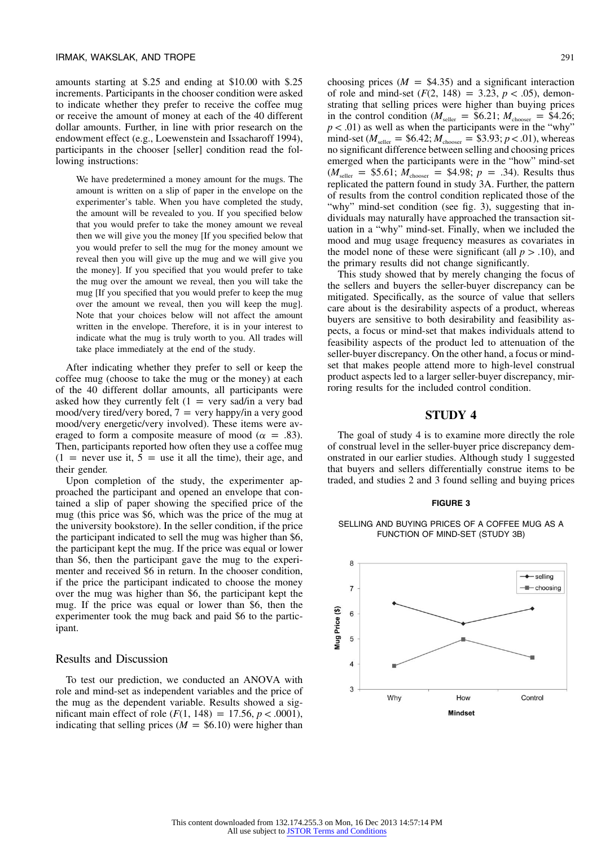amounts starting at \$.25 and ending at \$10.00 with \$.25 increments. Participants in the chooser condition were asked to indicate whether they prefer to receive the coffee mug or receive the amount of money at each of the 40 different dollar amounts. Further, in line with prior research on the endowment effect (e.g., Loewenstein and Issacharoff 1994), participants in the chooser [seller] condition read the following instructions:

We have predetermined a money amount for the mugs. The amount is written on a slip of paper in the envelope on the experimenter's table. When you have completed the study, the amount will be revealed to you. If you specified below that you would prefer to take the money amount we reveal then we will give you the money [If you specified below that you would prefer to sell the mug for the money amount we reveal then you will give up the mug and we will give you the money]. If you specified that you would prefer to take the mug over the amount we reveal, then you will take the mug [If you specified that you would prefer to keep the mug over the amount we reveal, then you will keep the mug]. Note that your choices below will not affect the amount written in the envelope. Therefore, it is in your interest to indicate what the mug is truly worth to you. All trades will take place immediately at the end of the study.

After indicating whether they prefer to sell or keep the coffee mug (choose to take the mug or the money) at each of the 40 different dollar amounts, all participants were asked how they currently felt  $(1 = \text{very sad/in a very bad})$ mood/very tired/very bored,  $7 = \text{very happy/in a very good}$ mood/very energetic/very involved). These items were averaged to form a composite measure of mood ( $\alpha = .83$ ). Then, participants reported how often they use a coffee mug  $(1$  = never use it, 5 = use it all the time), their age, and their gender.

Upon completion of the study, the experimenter approached the participant and opened an envelope that contained a slip of paper showing the specified price of the mug (this price was \$6, which was the price of the mug at the university bookstore). In the seller condition, if the price the participant indicated to sell the mug was higher than \$6, the participant kept the mug. If the price was equal or lower than \$6, then the participant gave the mug to the experimenter and received \$6 in return. In the chooser condition, if the price the participant indicated to choose the money over the mug was higher than \$6, the participant kept the mug. If the price was equal or lower than \$6, then the experimenter took the mug back and paid \$6 to the participant.

## Results and Discussion

To test our prediction, we conducted an ANOVA with role and mind-set as independent variables and the price of the mug as the dependent variable. Results showed a significant main effect of role  $(F(1, 148) = 17.56, p < .0001)$ , indicating that selling prices  $(M = $6.10)$  were higher than

choosing prices  $(M = $4.35)$  and a significant interaction of role and mind-set  $(F(2, 148) = 3.23, p < .05)$ , demonstrating that selling prices were higher than buying prices in the control condition ( $M_{\text{seller}} = $6.21; M_{\text{chosen}} = $4.26;$  $p < .01$ ) as well as when the participants were in the "why" mind-set ( $M_{\text{selfer}} = $6.42; M_{\text{chosen}} = $3.93; p < .01$ ), whereas no significant difference between selling and choosing prices emerged when the participants were in the "how" mind-set  $(M_{\text{seller}} = $5.61; M_{\text{chosen}} = $4.98; p = .34)$ . Results thus replicated the pattern found in study 3A. Further, the pattern of results from the control condition replicated those of the "why" mind-set condition (see fig. 3), suggesting that individuals may naturally have approached the transaction situation in a "why" mind-set. Finally, when we included the mood and mug usage frequency measures as covariates in the model none of these were significant (all  $p > .10$ ), and the primary results did not change significantly.

This study showed that by merely changing the focus of the sellers and buyers the seller-buyer discrepancy can be mitigated. Specifically, as the source of value that sellers care about is the desirability aspects of a product, whereas buyers are sensitive to both desirability and feasibility aspects, a focus or mind-set that makes individuals attend to feasibility aspects of the product led to attenuation of the seller-buyer discrepancy. On the other hand, a focus or mindset that makes people attend more to high-level construal product aspects led to a larger seller-buyer discrepancy, mirroring results for the included control condition.

## **STUDY 4**

The goal of study 4 is to examine more directly the role of construal level in the seller-buyer price discrepancy demonstrated in our earlier studies. Although study 1 suggested that buyers and sellers differentially construe items to be traded, and studies 2 and 3 found selling and buying prices

#### **FIGURE 3**

SELLING AND BUYING PRICES OF A COFFEE MUG AS A FUNCTION OF MIND-SET (STUDY 3B)

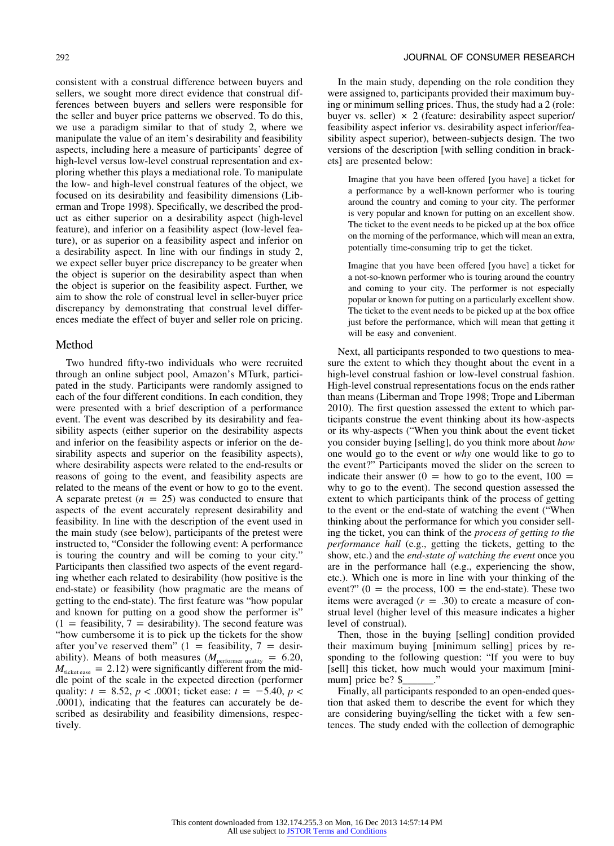consistent with a construal difference between buyers and sellers, we sought more direct evidence that construal differences between buyers and sellers were responsible for the seller and buyer price patterns we observed. To do this, we use a paradigm similar to that of study 2, where we manipulate the value of an item's desirability and feasibility aspects, including here a measure of participants' degree of high-level versus low-level construal representation and exploring whether this plays a mediational role. To manipulate the low- and high-level construal features of the object, we focused on its desirability and feasibility dimensions (Liberman and Trope 1998). Specifically, we described the product as either superior on a desirability aspect (high-level feature), and inferior on a feasibility aspect (low-level feature), or as superior on a feasibility aspect and inferior on a desirability aspect. In line with our findings in study 2, we expect seller buyer price discrepancy to be greater when the object is superior on the desirability aspect than when the object is superior on the feasibility aspect. Further, we aim to show the role of construal level in seller-buyer price discrepancy by demonstrating that construal level differences mediate the effect of buyer and seller role on pricing.

#### Method

Two hundred fifty-two individuals who were recruited through an online subject pool, Amazon's MTurk, participated in the study. Participants were randomly assigned to each of the four different conditions. In each condition, they were presented with a brief description of a performance event. The event was described by its desirability and feasibility aspects (either superior on the desirability aspects and inferior on the feasibility aspects or inferior on the desirability aspects and superior on the feasibility aspects), where desirability aspects were related to the end-results or reasons of going to the event, and feasibility aspects are related to the means of the event or how to go to the event. A separate pretest  $(n = 25)$  was conducted to ensure that aspects of the event accurately represent desirability and feasibility. In line with the description of the event used in the main study (see below), participants of the pretest were instructed to, "Consider the following event: A performance is touring the country and will be coming to your city." Participants then classified two aspects of the event regarding whether each related to desirability (how positive is the end-state) or feasibility (how pragmatic are the means of getting to the end-state). The first feature was "how popular and known for putting on a good show the performer is"  $(1 =$  feasibility,  $7 =$  desirability). The second feature was "how cumbersome it is to pick up the tickets for the show after you've reserved them"  $(1 =$  feasibility,  $7 =$  desirability). Means of both measures ( $M_{\text{performer quality}} = 6.20$ ,  $M<sub>ticket case</sub> = 2.12$ ) were significantly different from the middle point of the scale in the expected direction (performer quality:  $t = 8.52, p < .0001$ ; ticket ease:  $t = -5.40, p <$ .0001), indicating that the features can accurately be described as desirability and feasibility dimensions, respectively.

In the main study, depending on the role condition they were assigned to, participants provided their maximum buying or minimum selling prices. Thus, the study had a 2 (role: buyer vs. seller)  $\times$  2 (feature: desirability aspect superior/ feasibility aspect inferior vs. desirability aspect inferior/feasibility aspect superior), between-subjects design. The two versions of the description [with selling condition in brackets] are presented below:

Imagine that you have been offered [you have] a ticket for a performance by a well-known performer who is touring around the country and coming to your city. The performer is very popular and known for putting on an excellent show. The ticket to the event needs to be picked up at the box office on the morning of the performance, which will mean an extra, potentially time-consuming trip to get the ticket.

Imagine that you have been offered [you have] a ticket for a not-so-known performer who is touring around the country and coming to your city. The performer is not especially popular or known for putting on a particularly excellent show. The ticket to the event needs to be picked up at the box office just before the performance, which will mean that getting it will be easy and convenient.

Next, all participants responded to two questions to measure the extent to which they thought about the event in a high-level construal fashion or low-level construal fashion. High-level construal representations focus on the ends rather than means (Liberman and Trope 1998; Trope and Liberman 2010). The first question assessed the extent to which participants construe the event thinking about its how-aspects or its why-aspects ("When you think about the event ticket you consider buying [selling], do you think more about *how* one would go to the event or *why* one would like to go to the event?" Participants moved the slider on the screen to indicate their answer ( $0 =$  how to go to the event,  $100 =$ why to go to the event). The second question assessed the extent to which participants think of the process of getting to the event or the end-state of watching the event ("When thinking about the performance for which you consider selling the ticket, you can think of the *process of getting to the performance hall* (e.g., getting the tickets, getting to the show, etc.) and the *end-state of watching the event* once you are in the performance hall (e.g., experiencing the show, etc.). Which one is more in line with your thinking of the event?" ( $0 =$  the process,  $100 =$  the end-state). These two items were averaged  $(r = .30)$  to create a measure of construal level (higher level of this measure indicates a higher level of construal).

Then, those in the buying [selling] condition provided their maximum buying [minimum selling] prices by responding to the following question: "If you were to buy [sell] this ticket, how much would your maximum [minimum] price be? \$

Finally, all participants responded to an open-ended question that asked them to describe the event for which they are considering buying/selling the ticket with a few sentences. The study ended with the collection of demographic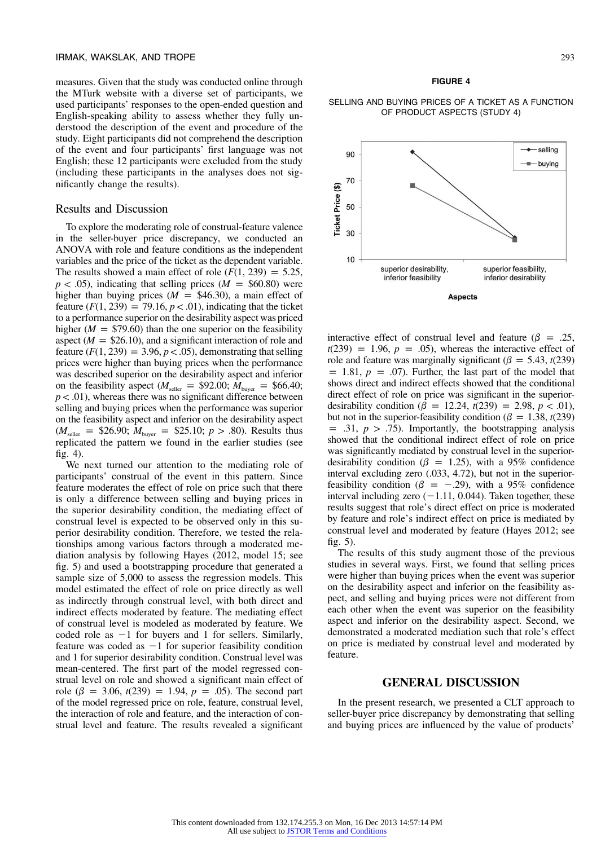measures. Given that the study was conducted online through the MTurk website with a diverse set of participants, we used participants' responses to the open-ended question and English-speaking ability to assess whether they fully understood the description of the event and procedure of the study. Eight participants did not comprehend the description of the event and four participants' first language was not English; these 12 participants were excluded from the study (including these participants in the analyses does not significantly change the results).

## Results and Discussion

To explore the moderating role of construal-feature valence in the seller-buyer price discrepancy, we conducted an ANOVA with role and feature conditions as the independent variables and the price of the ticket as the dependent variable. The results showed a main effect of role  $(F(1, 239) = 5.25$ ,  $p < .05$ ), indicating that selling prices ( $M = $60.80$ ) were higher than buying prices ( $M = $46.30$ ), a main effect of feature  $(F(1, 239) = 79.16, p < .01)$ , indicating that the ticket to a performance superior on the desirability aspect was priced higher ( $M = $79.60$ ) than the one superior on the feasibility aspect  $(M = $26.10)$ , and a significant interaction of role and feature  $(F(1, 239) = 3.96, p < .05)$ , demonstrating that selling prices were higher than buying prices when the performance was described superior on the desirability aspect and inferior on the feasibility aspect ( $M_{\text{selfer}} = $92.00; M_{\text{lower}} = $66.40;$  $p < .01$ ), whereas there was no significant difference between selling and buying prices when the performance was superior on the feasibility aspect and inferior on the desirability aspect  $(M_{\text{selfer}} = $26.90; M_{\text{burger}} = $25.10; p > .80$ . Results thus replicated the pattern we found in the earlier studies (see fig. 4).

We next turned our attention to the mediating role of participants' construal of the event in this pattern. Since feature moderates the effect of role on price such that there is only a difference between selling and buying prices in the superior desirability condition, the mediating effect of construal level is expected to be observed only in this superior desirability condition. Therefore, we tested the relationships among various factors through a moderated mediation analysis by following Hayes (2012, model 15; see fig. 5) and used a bootstrapping procedure that generated a sample size of 5,000 to assess the regression models. This model estimated the effect of role on price directly as well as indirectly through construal level, with both direct and indirect effects moderated by feature. The mediating effect of construal level is modeled as moderated by feature. We coded role as  $-1$  for buyers and 1 for sellers. Similarly, feature was coded as  $-1$  for superior feasibility condition and 1 for superior desirability condition. Construal level was mean-centered. The first part of the model regressed construal level on role and showed a significant main effect of role ( $\beta$  = 3.06, *t*(239) = 1.94, *p* = .05). The second part of the model regressed price on role, feature, construal level, the interaction of role and feature, and the interaction of construal level and feature. The results revealed a significant

#### **FIGURE 4**

#### SELLING AND BUYING PRICES OF A TICKET AS A FUNCTION OF PRODUCT ASPECTS (STUDY 4)



interactive effect of construal level and feature ( $\beta$  = .25,  $t(239) = 1.96$ ,  $p = .05$ ), whereas the interactive effect of role and feature was marginally significant ( $\beta = 5.43$ , *t*(239)  $p = 1.81$ ,  $p = .07$ ). Further, the last part of the model that shows direct and indirect effects showed that the conditional direct effect of role on price was significant in the superiordesirability condition ( $\beta = 12.24$ , *t*(239) = 2.98, *p* < .01), but not in the superior-feasibility condition ( $\beta = 1.38$ , *t*(239)  $=$  .31,  $p > .75$ ). Importantly, the bootstrapping analysis showed that the conditional indirect effect of role on price was significantly mediated by construal level in the superiordesirability condition ( $\beta$  = 1.25), with a 95% confidence interval excluding zero (.033, 4.72), but not in the superiorfeasibility condition ( $\beta = -.29$ ), with a 95% confidence interval including zero  $(-1.11, 0.044)$ . Taken together, these results suggest that role's direct effect on price is moderated by feature and role's indirect effect on price is mediated by construal level and moderated by feature (Hayes 2012; see fig. 5).

The results of this study augment those of the previous studies in several ways. First, we found that selling prices were higher than buying prices when the event was superior on the desirability aspect and inferior on the feasibility aspect, and selling and buying prices were not different from each other when the event was superior on the feasibility aspect and inferior on the desirability aspect. Second, we demonstrated a moderated mediation such that role's effect on price is mediated by construal level and moderated by feature.

## **GENERAL DISCUSSION**

In the present research, we presented a CLT approach to seller-buyer price discrepancy by demonstrating that selling and buying prices are influenced by the value of products'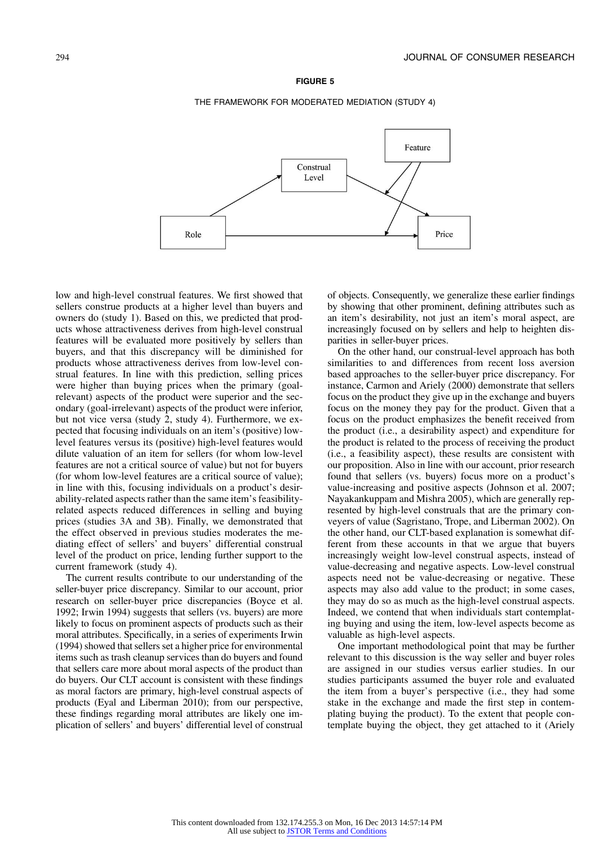#### **FIGURE 5**

#### THE FRAMEWORK FOR MODERATED MEDIATION (STUDY 4)



low and high-level construal features. We first showed that sellers construe products at a higher level than buyers and owners do (study 1). Based on this, we predicted that products whose attractiveness derives from high-level construal features will be evaluated more positively by sellers than buyers, and that this discrepancy will be diminished for products whose attractiveness derives from low-level construal features. In line with this prediction, selling prices were higher than buying prices when the primary (goalrelevant) aspects of the product were superior and the secondary (goal-irrelevant) aspects of the product were inferior, but not vice versa (study 2, study 4). Furthermore, we expected that focusing individuals on an item's (positive) lowlevel features versus its (positive) high-level features would dilute valuation of an item for sellers (for whom low-level features are not a critical source of value) but not for buyers (for whom low-level features are a critical source of value); in line with this, focusing individuals on a product's desirability-related aspects rather than the same item's feasibilityrelated aspects reduced differences in selling and buying prices (studies 3A and 3B). Finally, we demonstrated that the effect observed in previous studies moderates the mediating effect of sellers' and buyers' differential construal level of the product on price, lending further support to the current framework (study 4).

The current results contribute to our understanding of the seller-buyer price discrepancy. Similar to our account, prior research on seller-buyer price discrepancies (Boyce et al. 1992; Irwin 1994) suggests that sellers (vs. buyers) are more likely to focus on prominent aspects of products such as their moral attributes. Specifically, in a series of experiments Irwin (1994) showed that sellers set a higher price for environmental items such as trash cleanup services than do buyers and found that sellers care more about moral aspects of the product than do buyers. Our CLT account is consistent with these findings as moral factors are primary, high-level construal aspects of products (Eyal and Liberman 2010); from our perspective, these findings regarding moral attributes are likely one implication of sellers' and buyers' differential level of construal

of objects. Consequently, we generalize these earlier findings by showing that other prominent, defining attributes such as an item's desirability, not just an item's moral aspect, are increasingly focused on by sellers and help to heighten disparities in seller-buyer prices.

On the other hand, our construal-level approach has both similarities to and differences from recent loss aversion based approaches to the seller-buyer price discrepancy. For instance, Carmon and Ariely (2000) demonstrate that sellers focus on the product they give up in the exchange and buyers focus on the money they pay for the product. Given that a focus on the product emphasizes the benefit received from the product (i.e., a desirability aspect) and expenditure for the product is related to the process of receiving the product (i.e., a feasibility aspect), these results are consistent with our proposition. Also in line with our account, prior research found that sellers (vs. buyers) focus more on a product's value-increasing and positive aspects (Johnson et al. 2007; Nayakankuppam and Mishra 2005), which are generally represented by high-level construals that are the primary conveyers of value (Sagristano, Trope, and Liberman 2002). On the other hand, our CLT-based explanation is somewhat different from these accounts in that we argue that buyers increasingly weight low-level construal aspects, instead of value-decreasing and negative aspects. Low-level construal aspects need not be value-decreasing or negative. These aspects may also add value to the product; in some cases, they may do so as much as the high-level construal aspects. Indeed, we contend that when individuals start contemplating buying and using the item, low-level aspects become as valuable as high-level aspects.

One important methodological point that may be further relevant to this discussion is the way seller and buyer roles are assigned in our studies versus earlier studies. In our studies participants assumed the buyer role and evaluated the item from a buyer's perspective (i.e., they had some stake in the exchange and made the first step in contemplating buying the product). To the extent that people contemplate buying the object, they get attached to it (Ariely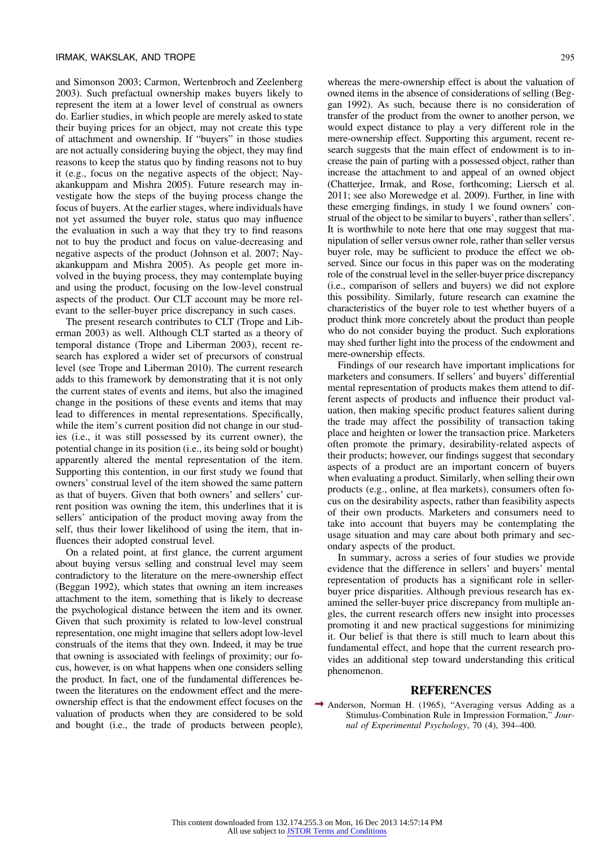and Simonson 2003; Carmon, Wertenbroch and Zeelenberg 2003). Such prefactual ownership makes buyers likely to represent the item at a lower level of construal as owners do. Earlier studies, in which people are merely asked to state their buying prices for an object, may not create this type of attachment and ownership. If "buyers" in those studies are not actually considering buying the object, they may find reasons to keep the status quo by finding reasons not to buy it (e.g., focus on the negative aspects of the object; Nayakankuppam and Mishra 2005). Future research may investigate how the steps of the buying process change the focus of buyers. At the earlier stages, where individuals have not yet assumed the buyer role, status quo may influence the evaluation in such a way that they try to find reasons not to buy the product and focus on value-decreasing and negative aspects of the product (Johnson et al. 2007; Nayakankuppam and Mishra 2005). As people get more involved in the buying process, they may contemplate buying and using the product, focusing on the low-level construal aspects of the product. Our CLT account may be more relevant to the seller-buyer price discrepancy in such cases.

The present research contributes to CLT (Trope and Liberman 2003) as well. Although CLT started as a theory of temporal distance (Trope and Liberman 2003), recent research has explored a wider set of precursors of construal level (see Trope and Liberman 2010). The current research adds to this framework by demonstrating that it is not only the current states of events and items, but also the imagined change in the positions of these events and items that may lead to differences in mental representations. Specifically, while the item's current position did not change in our studies (i.e., it was still possessed by its current owner), the potential change in its position (i.e., its being sold or bought) apparently altered the mental representation of the item. Supporting this contention, in our first study we found that owners' construal level of the item showed the same pattern as that of buyers. Given that both owners' and sellers' current position was owning the item, this underlines that it is sellers' anticipation of the product moving away from the self, thus their lower likelihood of using the item, that influences their adopted construal level.

On a related point, at first glance, the current argument about buying versus selling and construal level may seem contradictory to the literature on the mere-ownership effect (Beggan 1992), which states that owning an item increases attachment to the item, something that is likely to decrease the psychological distance between the item and its owner. Given that such proximity is related to low-level construal representation, one might imagine that sellers adopt low-level construals of the items that they own. Indeed, it may be true that owning is associated with feelings of proximity; our focus, however, is on what happens when one considers selling the product. In fact, one of the fundamental differences between the literatures on the endowment effect and the mereownership effect is that the endowment effect focuses on the valuation of products when they are considered to be sold and bought (i.e., the trade of products between people), whereas the mere-ownership effect is about the valuation of owned items in the absence of considerations of selling (Beggan 1992). As such, because there is no consideration of transfer of the product from the owner to another person, we would expect distance to play a very different role in the mere-ownership effect. Supporting this argument, recent research suggests that the main effect of endowment is to increase the pain of parting with a possessed object, rather than increase the attachment to and appeal of an owned object (Chatterjee, Irmak, and Rose, forthcoming; Liersch et al. 2011; see also Morewedge et al. 2009). Further, in line with these emerging findings, in study 1 we found owners' construal of the object to be similar to buyers', rather than sellers'. It is worthwhile to note here that one may suggest that manipulation of seller versus owner role, rather than seller versus buyer role, may be sufficient to produce the effect we observed. Since our focus in this paper was on the moderating role of the construal level in the seller-buyer price discrepancy (i.e., comparison of sellers and buyers) we did not explore this possibility. Similarly, future research can examine the characteristics of the buyer role to test whether buyers of a product think more concretely about the product than people who do not consider buying the product. Such explorations may shed further light into the process of the endowment and

mere-ownership effects. Findings of our research have important implications for marketers and consumers. If sellers' and buyers' differential mental representation of products makes them attend to different aspects of products and influence their product valuation, then making specific product features salient during the trade may affect the possibility of transaction taking place and heighten or lower the transaction price. Marketers often promote the primary, desirability-related aspects of their products; however, our findings suggest that secondary aspects of a product are an important concern of buyers when evaluating a product. Similarly, when selling their own products (e.g., online, at flea markets), consumers often focus on the desirability aspects, rather than feasibility aspects of their own products. Marketers and consumers need to take into account that buyers may be contemplating the usage situation and may care about both primary and secondary aspects of the product.

In summary, across a series of four studies we provide evidence that the difference in sellers' and buyers' mental representation of products has a significant role in sellerbuyer price disparities. Although previous research has examined the seller-buyer price discrepancy from multiple angles, the current research offers new insight into processes promoting it and new practical suggestions for minimizing it. Our belief is that there is still much to learn about this fundamental effect, and hope that the current research provides an additional step toward understanding this critical phenomenon.

#### **REFERENCES**

Anderson, Norman H. (1965), "Averaging versus Adding as a Stimulus-Combination Rule in Impression Formation," *Journal of Experimental Psychology*, 70 (4), 394–400.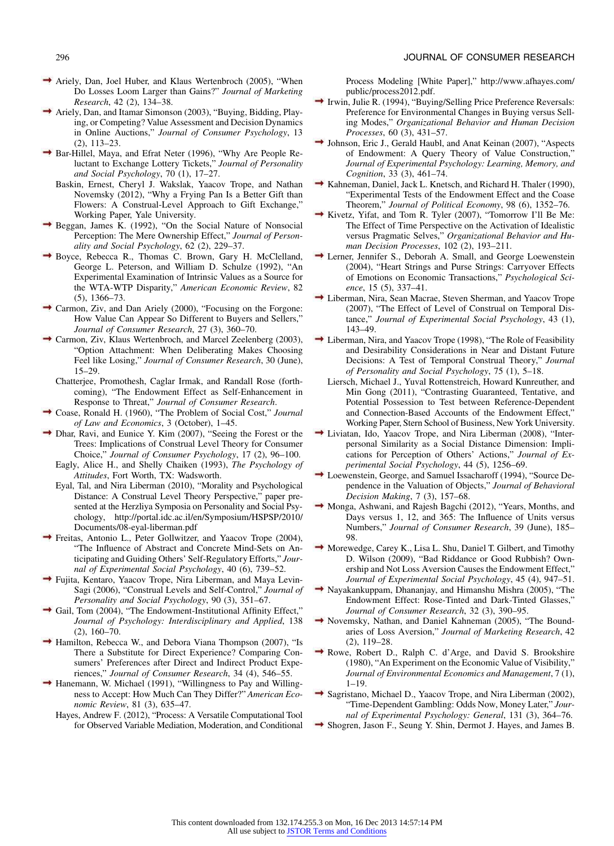- Ariely, Dan, Joel Huber, and Klaus Wertenbroch (2005), "When Do Losses Loom Larger than Gains?" *Journal of Marketing Research*, 42 (2), 134–38.
- Ariely, Dan, and Itamar Simonson (2003), "Buying, Bidding, Playing, or Competing? Value Assessment and Decision Dynamics in Online Auctions," *Journal of Consumer Psychology*, 13 (2), 113–23.
- Bar-Hillel, Maya, and Efrat Neter (1996), "Why Are People Reluctant to Exchange Lottery Tickets," *Journal of Personality and Social Psychology*, 70 (1), 17–27.
	- Baskin, Ernest, Cheryl J. Wakslak, Yaacov Trope, and Nathan Novemsky (2012), "Why a Frying Pan Is a Better Gift than Flowers: A Construal-Level Approach to Gift Exchange," Working Paper, Yale University.
- $\rightarrow$  Beggan, James K. (1992), "On the Social Nature of Nonsocial Perception: The Mere Ownership Effect," *Journal of Personality and Social Psychology*, 62 (2), 229–37.
- Boyce, Rebecca R., Thomas C. Brown, Gary H. McClelland, George L. Peterson, and William D. Schulze (1992), "An Experimental Examination of Intrinsic Values as a Source for the WTA-WTP Disparity," *American Economic Review*, 82 (5), 1366–73.
- Carmon, Ziv, and Dan Ariely (2000), "Focusing on the Forgone: How Value Can Appear So Different to Buyers and Sellers," *Journal of Consumer Research*, 27 (3), 360–70.
- Carmon, Ziv, Klaus Wertenbroch, and Marcel Zeelenberg (2003), "Option Attachment: When Deliberating Makes Choosing Feel like Losing," *Journal of Consumer Research*, 30 (June), 15–29.
	- Chatterjee, Promothesh, Caglar Irmak, and Randall Rose (forthcoming), "The Endowment Effect as Self-Enhancement in Response to Threat," *Journal of Consumer Research*.
- Coase, Ronald H. (1960), "The Problem of Social Cost," *Journal of Law and Economics*, 3 (October), 1–45.
- Dhar, Ravi, and Eunice Y. Kim (2007), "Seeing the Forest or the Trees: Implications of Construal Level Theory for Consumer Choice," *Journal of Consumer Psychology*, 17 (2), 96–100.
	- Eagly, Alice H., and Shelly Chaiken (1993), *The Psychology of Attitudes*, Fort Worth, TX: Wadsworth.
	- Eyal, Tal, and Nira Liberman (2010), "Morality and Psychological Distance: A Construal Level Theory Perspective," paper presented at the Herzliya Symposia on Personality and Social Psychology, [http://portal.idc.ac.il/en/Symposium/HSPSP/2010/](http://portal.idc.ac.il/en/Symposium/HSPSP/2010/Documents/08-eyal-liberman.pdf) [Documents/08-eyal-liberman.pdf](http://portal.idc.ac.il/en/Symposium/HSPSP/2010/Documents/08-eyal-liberman.pdf)
- Freitas, Antonio L., Peter Gollwitzer, and Yaacov Trope (2004), "The Influence of Abstract and Concrete Mind-Sets on Anticipating and Guiding Others' Self-Regulatory Efforts," *Journal of Experimental Social Psychology*, 40 (6), 739–52.
- Fujita, Kentaro, Yaacov Trope, Nira Liberman, and Maya Levin-Sagi (2006), "Construal Levels and Self-Control," *Journal of Personality and Social Psychology*, 90 (3), 351–67.
- Gail, Tom (2004), "The Endowment-Institutional Affinity Effect," *Journal of Psychology: Interdisciplinary and Applied*, 138 (2), 160–70.
- Hamilton, Rebecca W., and Debora Viana Thompson (2007), "Is There a Substitute for Direct Experience? Comparing Consumers' Preferences after Direct and Indirect Product Experiences," *Journal of Consumer Research*, 34 (4), 546–55.
- Hanemann, W. Michael (1991), "Willingness to Pay and Willingness to Accept: How Much Can They Differ?" *American Economic Review*, 81 (3), 635–47.
	- Hayes, Andrew F. (2012), "Process: A Versatile Computational Tool for Observed Variable Mediation, Moderation, and Conditional

Process Modeling [White Paper]," [http://www.afhayes.com/](http://www.afhayes.com/public/process2012.pdf) [public/process2012.pdf.](http://www.afhayes.com/public/process2012.pdf)

- → Irwin, Julie R. (1994), "Buying/Selling Price Preference Reversals: Preference for Environmental Changes in Buying versus Selling Modes," *Organizational Behavior and Human Decision Processes*, 60 (3), 431–57.
- Johnson, Eric J., Gerald Haubl, and Anat Keinan (2007), "Aspects of Endowment: A Query Theory of Value Construction," *Journal of Experimental Psychology: Learning, Memory, and Cognition*, 33 (3), 461–74.
- Kahneman, Daniel, Jack L. Knetsch, and Richard H. Thaler (1990), "Experimental Tests of the Endowment Effect and the Coase Theorem," *Journal of Political Economy*, 98 (6), 1352–76.
- Kivetz, Yifat, and Tom R. Tyler (2007), "Tomorrow I'll Be Me: The Effect of Time Perspective on the Activation of Idealistic versus Pragmatic Selves," *Organizational Behavior and Human Decision Processes*, 102 (2), 193–211.
- Lerner, Jennifer S., Deborah A. Small, and George Loewenstein (2004), "Heart Strings and Purse Strings: Carryover Effects of Emotions on Economic Transactions," *Psychological Science*, 15 (5), 337–41.
- Liberman, Nira, Sean Macrae, Steven Sherman, and Yaacov Trope (2007), "The Effect of Level of Construal on Temporal Distance," *Journal of Experimental Social Psychology*, 43 (1), 143–49.
- **→** Liberman, Nira, and Yaacov Trope (1998), "The Role of Feasibility and Desirability Considerations in Near and Distant Future Decisions: A Test of Temporal Construal Theory," *Journal of Personality and Social Psychology*, 75 (1), 5–18.
	- Liersch, Michael J., Yuval Rottenstreich, Howard Kunreuther, and Min Gong (2011), "Contrasting Guaranteed, Tentative, and Potential Possession to Test between Reference-Dependent and Connection-Based Accounts of the Endowment Effect," Working Paper, Stern School of Business, New York University.
- Liviatan, Ido, Yaacov Trope, and Nira Liberman (2008), "Interpersonal Similarity as a Social Distance Dimension: Implications for Perception of Others' Actions," *Journal of Experimental Social Psychology*, 44 (5), 1256–69.
- Loewenstein, George, and Samuel Issacharoff (1994), "Source Dependence in the Valuation of Objects," *Journal of Behavioral Decision Making*, 7 (3), 157–68.
- Monga, Ashwani, and Rajesh Bagchi (2012), "Years, Months, and Days versus 1, 12, and 365: The Influence of Units versus Numbers," *Journal of Consumer Research*, 39 (June), 185– 98.
- Morewedge, Carey K., Lisa L. Shu, Daniel T. Gilbert, and Timothy D. Wilson (2009), "Bad Riddance or Good Rubbish? Ownership and Not Loss Aversion Causes the Endowment Effect,' *Journal of Experimental Social Psychology*, 45 (4), 947–51.
- Nayakankuppam, Dhananjay, and Himanshu Mishra (2005), "The Endowment Effect: Rose-Tinted and Dark-Tinted Glasses," *Journal of Consumer Research*, 32 (3), 390–95.
- Novemsky, Nathan, and Daniel Kahneman (2005), "The Boundaries of Loss Aversion," *Journal of Marketing Research*, 42 (2), 119–28.
- Rowe, Robert D., Ralph C. d'Arge, and David S. Brookshire (1980), "An Experiment on the Economic Value of Visibility," *Journal of Environmental Economics and Management*, 7 (1), 1–19.
- Sagristano, Michael D., Yaacov Trope, and Nira Liberman (2002), "Time-Dependent Gambling: Odds Now, Money Later," *Journal of Experimental Psychology: General*, 131 (3), 364–76.
- Shogren, Jason F., Seung Y. Shin, Dermot J. Hayes, and James B.